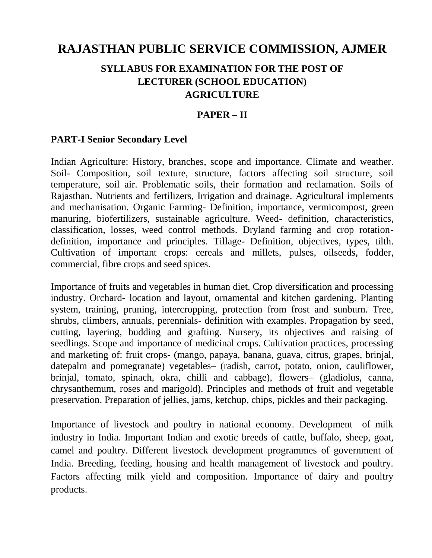# **RAJASTHAN PUBLIC SERVICE COMMISSION, AJMER**

# **SYLLABUS FOR EXAMINATION FOR THE POST OF LECTURER (SCHOOL EDUCATION) AGRICULTURE**

### **PAPER – II**

#### **PART-I Senior Secondary Level**

Indian Agriculture: History, branches, scope and importance. Climate and weather. Soil- Composition, soil texture, structure, factors affecting soil structure, soil temperature, soil air. Problematic soils, their formation and reclamation. Soils of Rajasthan. Nutrients and fertilizers, Irrigation and drainage. Agricultural implements and mechanisation. Organic Farming- Definition, importance, vermicompost, green manuring, biofertilizers, sustainable agriculture. Weed- definition, characteristics, classification, losses, weed control methods. Dryland farming and crop rotationdefinition, importance and principles. Tillage- Definition, objectives, types, tilth. Cultivation of important crops: cereals and millets, pulses, oilseeds, fodder, commercial, fibre crops and seed spices.

Importance of fruits and vegetables in human diet. Crop diversification and processing industry. Orchard- location and layout, ornamental and kitchen gardening. Planting system, training, pruning, intercropping, protection from frost and sunburn. Tree, shrubs, climbers, annuals, perennials- definition with examples. Propagation by seed, cutting, layering, budding and grafting. Nursery, its objectives and raising of seedlings. Scope and importance of medicinal crops. Cultivation practices, processing and marketing of: fruit crops- (mango, papaya, banana, guava, citrus, grapes, brinjal, datepalm and pomegranate) vegetables– (radish, carrot, potato, onion, cauliflower, brinjal, tomato, spinach, okra, chilli and cabbage), flowers– (gladiolus, canna, chrysanthemum, roses and marigold). Principles and methods of fruit and vegetable preservation. Preparation of jellies, jams, ketchup, chips, pickles and their packaging.

Importance of livestock and poultry in national economy. Development of milk industry in India. Important Indian and exotic breeds of cattle, buffalo, sheep, goat, camel and poultry. Different livestock development programmes of government of India. Breeding, feeding, housing and health management of livestock and poultry. Factors affecting milk yield and composition. Importance of dairy and poultry products.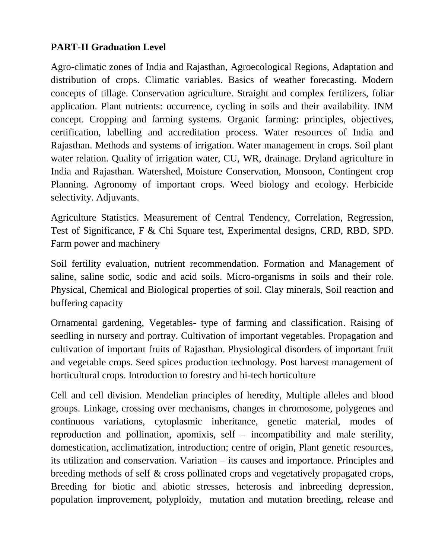# **PART-II Graduation Level**

Agro-climatic zones of India and Rajasthan, Agroecological Regions, Adaptation and distribution of crops. Climatic variables. Basics of weather forecasting. Modern concepts of tillage. Conservation agriculture. Straight and complex fertilizers, foliar application. Plant nutrients: occurrence, cycling in soils and their availability. INM concept. Cropping and farming systems. Organic farming: principles, objectives, certification, labelling and accreditation process. Water resources of India and Rajasthan. Methods and systems of irrigation. Water management in crops. Soil plant water relation. Quality of irrigation water, CU, WR, drainage. Dryland agriculture in India and Rajasthan. Watershed, Moisture Conservation, Monsoon, Contingent crop Planning. Agronomy of important crops. Weed biology and ecology. Herbicide selectivity. Adjuvants.

Agriculture Statistics. Measurement of Central Tendency, Correlation, Regression, Test of Significance, F & Chi Square test, Experimental designs, CRD, RBD, SPD. Farm power and machinery

Soil fertility evaluation, nutrient recommendation. Formation and Management of saline, saline sodic, sodic and acid soils. Micro-organisms in soils and their role. Physical, Chemical and Biological properties of soil. Clay minerals, Soil reaction and buffering capacity

Ornamental gardening, Vegetables- type of farming and classification. Raising of seedling in nursery and portray. Cultivation of important vegetables. Propagation and cultivation of important fruits of Rajasthan. Physiological disorders of important fruit and vegetable crops. Seed spices production technology. Post harvest management of horticultural crops. Introduction to forestry and hi-tech horticulture

Cell and cell division. Mendelian principles of heredity, Multiple alleles and blood groups. Linkage, crossing over mechanisms, changes in chromosome, polygenes and continuous variations, cytoplasmic inheritance, genetic material, modes of reproduction and pollination, apomixis, self – incompatibility and male sterility, domestication, acclimatization, introduction; centre of origin, Plant genetic resources, its utilization and conservation. Variation – its causes and importance. Principles and breeding methods of self & cross pollinated crops and vegetatively propagated crops, Breeding for biotic and abiotic stresses, heterosis and inbreeding depression, population improvement, polyploidy, mutation and mutation breeding, release and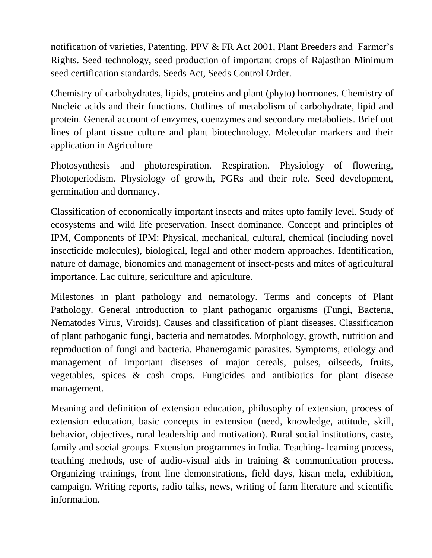notification of varieties, Patenting, PPV & FR Act 2001, Plant Breeders and Farmer's Rights. Seed technology, seed production of important crops of Rajasthan Minimum seed certification standards. Seeds Act, Seeds Control Order.

Chemistry of carbohydrates, lipids, proteins and plant (phyto) hormones. Chemistry of Nucleic acids and their functions. Outlines of metabolism of carbohydrate, lipid and protein. General account of enzymes, coenzymes and secondary metaboliets. Brief out lines of plant tissue culture and plant biotechnology. Molecular markers and their application in Agriculture

Photosynthesis and photorespiration. Respiration. Physiology of flowering, Photoperiodism. Physiology of growth, PGRs and their role. Seed development, germination and dormancy.

Classification of economically important insects and mites upto family level. Study of ecosystems and wild life preservation. Insect dominance. Concept and principles of IPM, Components of IPM: Physical, mechanical, cultural, chemical (including novel insecticide molecules), biological, legal and other modern approaches. Identification, nature of damage, bionomics and management of insect-pests and mites of agricultural importance. Lac culture, sericulture and apiculture.

Milestones in plant pathology and nematology. Terms and concepts of Plant Pathology. General introduction to plant pathoganic organisms (Fungi, Bacteria, Nematodes Virus, Viroids). Causes and classification of plant diseases. Classification of plant pathoganic fungi, bacteria and nematodes. Morphology, growth, nutrition and reproduction of fungi and bacteria. Phanerogamic parasites. Symptoms, etiology and management of important diseases of major cereals, pulses, oilseeds, fruits, vegetables, spices & cash crops. Fungicides and antibiotics for plant disease management.

Meaning and definition of extension education, philosophy of extension, process of extension education, basic concepts in extension (need, knowledge, attitude, skill, behavior, objectives, rural leadership and motivation). Rural social institutions, caste, family and social groups. Extension programmes in India. Teaching- learning process, teaching methods, use of audio-visual aids in training & communication process. Organizing trainings, front line demonstrations, field days, kisan mela, exhibition, campaign. Writing reports, radio talks, news, writing of farm literature and scientific information.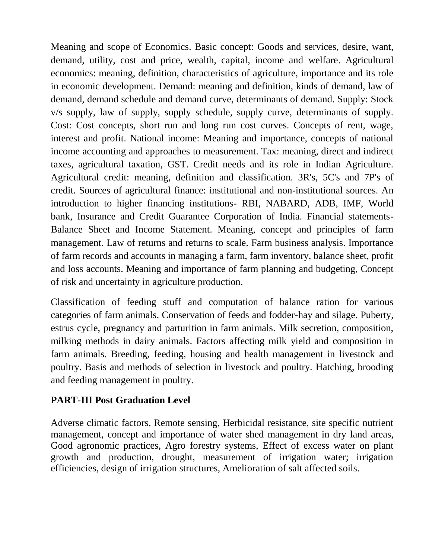Meaning and scope of Economics. Basic concept: Goods and services, desire, want, demand, utility, cost and price, wealth, capital, income and welfare. Agricultural economics: meaning, definition, characteristics of agriculture, importance and its role in economic development. Demand: meaning and definition, kinds of demand, law of demand, demand schedule and demand curve, determinants of demand. Supply: Stock v/s supply, law of supply, supply schedule, supply curve, determinants of supply. Cost: Cost concepts, short run and long run cost curves. Concepts of rent, wage, interest and profit. National income: Meaning and importance, concepts of national income accounting and approaches to measurement. Tax: meaning, direct and indirect taxes, agricultural taxation, GST. Credit needs and its role in Indian Agriculture. Agricultural credit: meaning, definition and classification. 3R's, 5C's and 7P's of credit. Sources of agricultural finance: institutional and non-institutional sources. An introduction to higher financing institutions- RBI, NABARD, ADB, IMF, World bank, Insurance and Credit Guarantee Corporation of India. Financial statements-Balance Sheet and Income Statement. Meaning, concept and principles of farm management. Law of returns and returns to scale. Farm business analysis. Importance of farm records and accounts in managing a farm, farm inventory, balance sheet, profit and loss accounts. Meaning and importance of farm planning and budgeting, Concept of risk and uncertainty in agriculture production.

Classification of feeding stuff and computation of balance ration for various categories of farm animals. Conservation of feeds and fodder-hay and silage. Puberty, estrus cycle, pregnancy and parturition in farm animals. Milk secretion, composition, milking methods in dairy animals. Factors affecting milk yield and composition in farm animals. Breeding, feeding, housing and health management in livestock and poultry. Basis and methods of selection in livestock and poultry. Hatching, brooding and feeding management in poultry.

# **PART-III Post Graduation Level**

Adverse climatic factors, Remote sensing, Herbicidal resistance, site specific nutrient management, concept and importance of water shed management in dry land areas, Good agronomic practices, Agro forestry systems, Effect of excess water on plant growth and production, drought, measurement of irrigation water; irrigation efficiencies, design of irrigation structures, Amelioration of salt affected soils.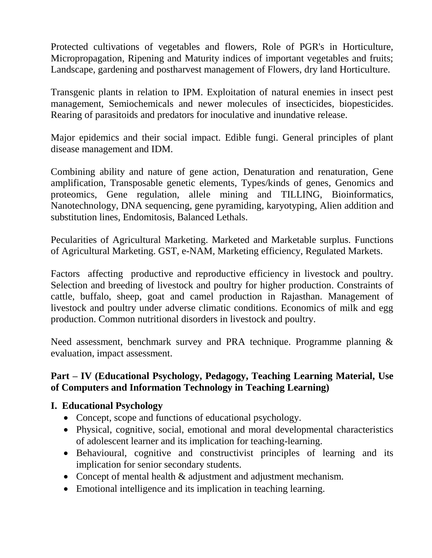Protected cultivations of vegetables and flowers, Role of PGR's in Horticulture, Micropropagation, Ripening and Maturity indices of important vegetables and fruits; Landscape, gardening and postharvest management of Flowers, dry land Horticulture.

Transgenic plants in relation to IPM. Exploitation of natural enemies in insect pest management, Semiochemicals and newer molecules of insecticides, biopesticides. Rearing of parasitoids and predators for inoculative and inundative release.

Major epidemics and their social impact. Edible fungi. General principles of plant disease management and IDM.

Combining ability and nature of gene action, Denaturation and renaturation, Gene amplification, Transposable genetic elements, Types/kinds of genes, Genomics and proteomics, Gene regulation, allele mining and TILLING, Bioinformatics, Nanotechnology, DNA sequencing, gene pyramiding, karyotyping, Alien addition and substitution lines, Endomitosis, Balanced Lethals.

Pecularities of Agricultural Marketing. Marketed and Marketable surplus. Functions of Agricultural Marketing. GST, e-NAM, Marketing efficiency, Regulated Markets.

Factors affecting productive and reproductive efficiency in livestock and poultry. Selection and breeding of livestock and poultry for higher production. Constraints of cattle, buffalo, sheep, goat and camel production in Rajasthan. Management of livestock and poultry under adverse climatic conditions. Economics of milk and egg production. Common nutritional disorders in livestock and poultry.

Need assessment, benchmark survey and PRA technique. Programme planning & evaluation, impact assessment.

# **Part – IV (Educational Psychology, Pedagogy, Teaching Learning Material, Use of Computers and Information Technology in Teaching Learning)**

# **I. Educational Psychology**

- Concept, scope and functions of educational psychology.
- Physical, cognitive, social, emotional and moral developmental characteristics of adolescent learner and its implication for teaching-learning.
- Behavioural, cognitive and constructivist principles of learning and its implication for senior secondary students.
- Concept of mental health & adjustment and adjustment mechanism.
- Emotional intelligence and its implication in teaching learning.